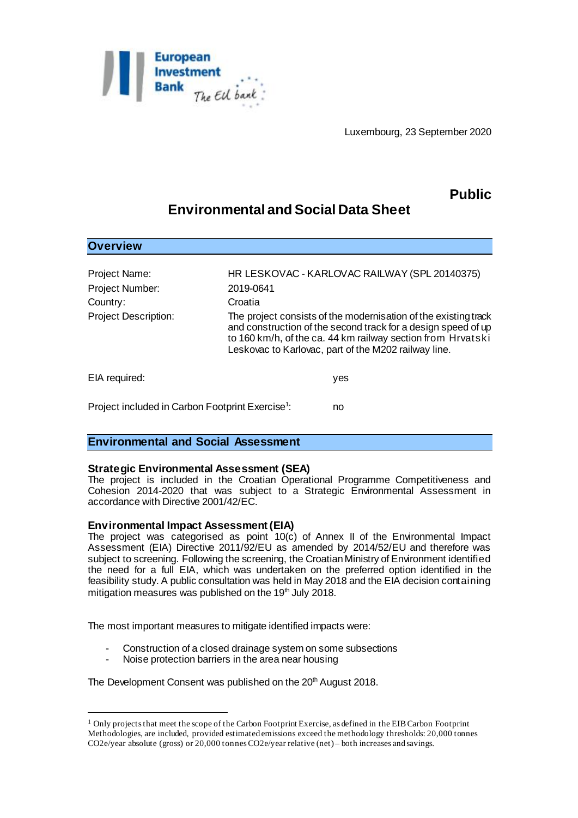

Luxembourg, 23 September 2020

## **Public**

# **Environmental and Social Data Sheet**

| <b>Overview</b>                                              |                                                                                                                                                                                                                                                         |                                               |
|--------------------------------------------------------------|---------------------------------------------------------------------------------------------------------------------------------------------------------------------------------------------------------------------------------------------------------|-----------------------------------------------|
| <b>Project Name:</b>                                         |                                                                                                                                                                                                                                                         | HR LESKOVAC - KARLOVAC RAILWAY (SPL 20140375) |
| Project Number:                                              | 2019-0641                                                                                                                                                                                                                                               |                                               |
| Country:                                                     | Croatia                                                                                                                                                                                                                                                 |                                               |
| <b>Project Description:</b>                                  | The project consists of the modernisation of the existing track<br>and construction of the second track for a design speed of up<br>to 160 km/h, of the ca. 44 km railway section from Hrvatski<br>Leskovac to Karlovac, part of the M202 railway line. |                                               |
| EIA required:                                                |                                                                                                                                                                                                                                                         | yes                                           |
| Project included in Carbon Footprint Exercise <sup>1</sup> : |                                                                                                                                                                                                                                                         | no                                            |

## **Environmental and Social Assessment**

## **Strategic Environmental Assessment (SEA)**

The project is included in the Croatian Operational Programme Competitiveness and Cohesion 2014-2020 that was subject to a Strategic Environmental Assessment in accordance with Directive 2001/42/EC.

## **Environmental Impact Assessment (EIA)**

l

The project was categorised as point  $10(c)$  of Annex II of the Environmental Impact Assessment (EIA) Directive 2011/92/EU as amended by 2014/52/EU and therefore was subject to screening. Following the screening, the Croatian Ministry of Environment identified the need for a full EIA, which was undertaken on the preferred option identified in the feasibility study. A public consultation was held in May 2018 and the EIA decision containing mitigation measures was published on the  $19<sup>th</sup>$  July 2018.

The most important measures to mitigate identified impacts were:

- Construction of a closed drainage system on some subsections
- Noise protection barriers in the area near housing

#### The Development Consent was published on the 20<sup>th</sup> August 2018.

<sup>1</sup> Only projects that meet the scope of the Carbon Footprint Exercise, as defined in the EIB Carbon Footprint Methodologies, are included, provided estimated emissions exceed the methodology thresholds: 20,000 tonnes CO2e/year absolute (gross) or 20,000 tonnes CO2e/year relative (net) – both increases and savings.